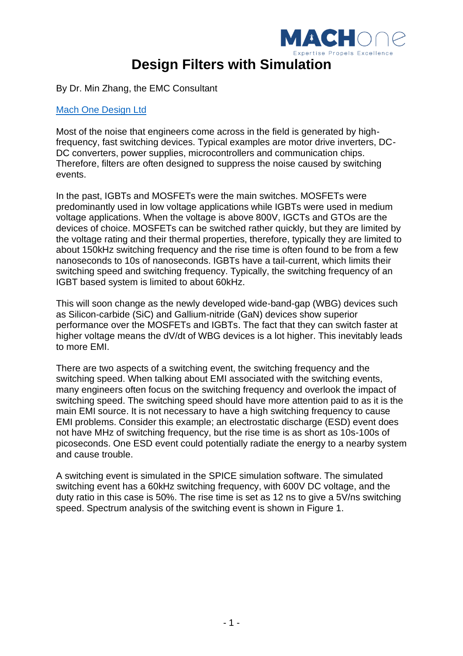

By Dr. Min Zhang, the EMC Consultant

## [Mach One Design Ltd](http://mach1design.co.uk/)

Most of the noise that engineers come across in the field is generated by highfrequency, fast switching devices. Typical examples are motor drive inverters, DC-DC converters, power supplies, microcontrollers and communication chips. Therefore, filters are often designed to suppress the noise caused by switching events.

In the past, IGBTs and MOSFETs were the main switches. MOSFETs were predominantly used in low voltage applications while IGBTs were used in medium voltage applications. When the voltage is above 800V, IGCTs and GTOs are the devices of choice. MOSFETs can be switched rather quickly, but they are limited by the voltage rating and their thermal properties, therefore, typically they are limited to about 150kHz switching frequency and the rise time is often found to be from a few nanoseconds to 10s of nanoseconds. IGBTs have a tail-current, which limits their switching speed and switching frequency. Typically, the switching frequency of an IGBT based system is limited to about 60kHz.

This will soon change as the newly developed wide-band-gap (WBG) devices such as Silicon-carbide (SiC) and Gallium-nitride (GaN) devices show superior performance over the MOSFETs and IGBTs. The fact that they can switch faster at higher voltage means the dV/dt of WBG devices is a lot higher. This inevitably leads to more EMI.

There are two aspects of a switching event, the switching frequency and the switching speed. When talking about EMI associated with the switching events, many engineers often focus on the switching frequency and overlook the impact of switching speed. The switching speed should have more attention paid to as it is the main EMI source. It is not necessary to have a high switching frequency to cause EMI problems. Consider this example; an electrostatic discharge (ESD) event does not have MHz of switching frequency, but the rise time is as short as 10s-100s of picoseconds. One ESD event could potentially radiate the energy to a nearby system and cause trouble.

A switching event is simulated in the SPICE simulation software. The simulated switching event has a 60kHz switching frequency, with 600V DC voltage, and the duty ratio in this case is 50%. The rise time is set as 12 ns to give a 5V/ns switching speed. Spectrum analysis of the switching event is shown in [Figure 1.](#page-1-0)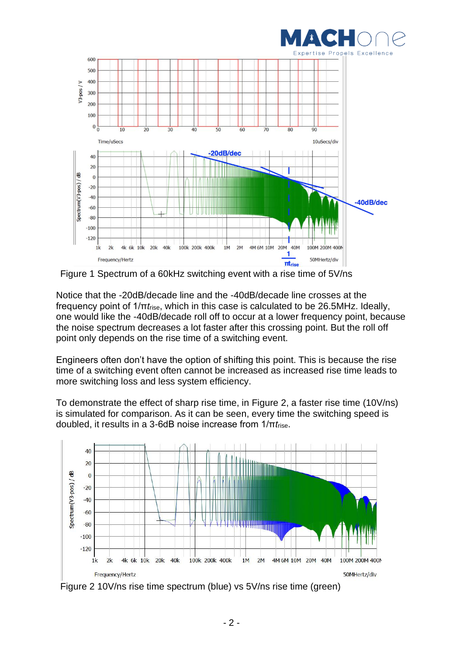



<span id="page-1-0"></span>Figure 1 Spectrum of a 60kHz switching event with a rise time of 5V/ns

Notice that the -20dB/decade line and the -40dB/decade line crosses at the frequency point of 1/π*t*rise, which in this case is calculated to be 26.5MHz. Ideally, one would like the -40dB/decade roll off to occur at a lower frequency point, because the noise spectrum decreases a lot faster after this crossing point. But the roll off point only depends on the rise time of a switching event.

Engineers often don't have the option of shifting this point. This is because the rise time of a switching event often cannot be increased as increased rise time leads to more switching loss and less system efficiency.

To demonstrate the effect of sharp rise time, in [Figure 2,](#page-1-1) a faster rise time (10V/ns) is simulated for comparison. As it can be seen, every time the switching speed is doubled, it results in a 3-6dB noise increase from 1/π*t*rise.



<span id="page-1-1"></span>Figure 2 10 V/ns rise time spectrum (blue) vs 5 V/ns rise time (green)